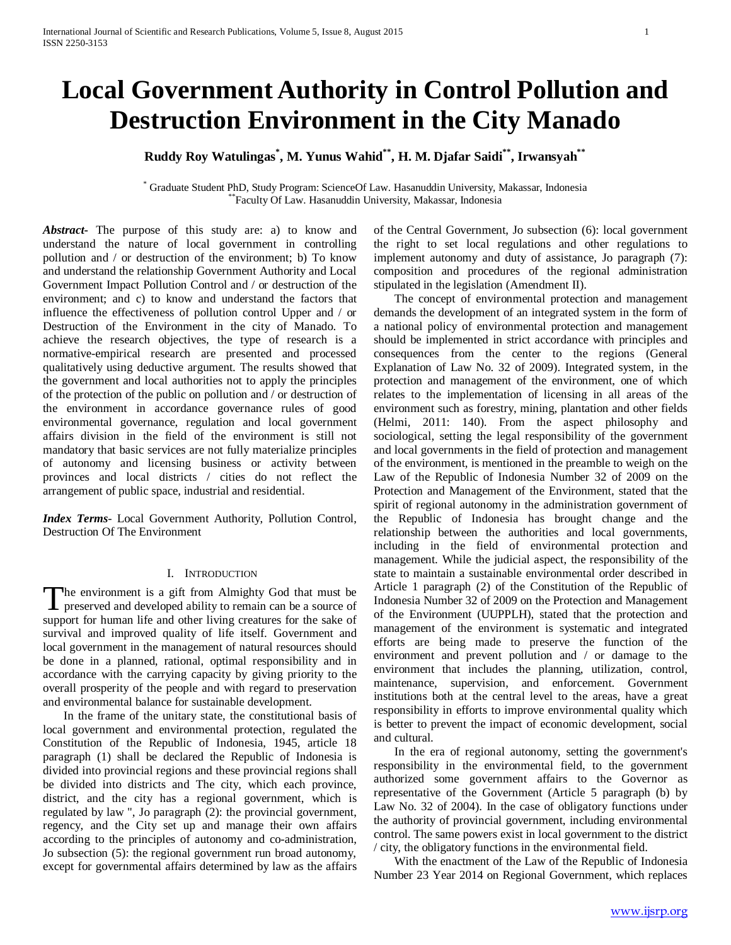# **Local Government Authority in Control Pollution and Destruction Environment in the City Manado**

## **Ruddy Roy Watulingas\* , M. Yunus Wahid\*\*, H. M. Djafar Saidi\*\*, Irwansyah\*\***

\* Graduate Student PhD, Study Program: ScienceOf Law. Hasanuddin University, Makassar, Indonesia \*\*Faculty Of Law. Hasanuddin University, Makassar, Indonesia

*Abstract***-** The purpose of this study are: a) to know and understand the nature of local government in controlling pollution and / or destruction of the environment; b) To know and understand the relationship Government Authority and Local Government Impact Pollution Control and / or destruction of the environment; and c) to know and understand the factors that influence the effectiveness of pollution control Upper and / or Destruction of the Environment in the city of Manado. To achieve the research objectives, the type of research is a normative-empirical research are presented and processed qualitatively using deductive argument. The results showed that the government and local authorities not to apply the principles of the protection of the public on pollution and / or destruction of the environment in accordance governance rules of good environmental governance, regulation and local government affairs division in the field of the environment is still not mandatory that basic services are not fully materialize principles of autonomy and licensing business or activity between provinces and local districts / cities do not reflect the arrangement of public space, industrial and residential.

*Index Terms*- Local Government Authority, Pollution Control, Destruction Of The Environment

#### I. INTRODUCTION

he environment is a gift from Almighty God that must be The environment is a gift from Almighty God that must be preserved and developed ability to remain can be a source of support for human life and other living creatures for the sake of survival and improved quality of life itself. Government and local government in the management of natural resources should be done in a planned, rational, optimal responsibility and in accordance with the carrying capacity by giving priority to the overall prosperity of the people and with regard to preservation and environmental balance for sustainable development.

 In the frame of the unitary state, the constitutional basis of local government and environmental protection, regulated the Constitution of the Republic of Indonesia, 1945, article 18 paragraph (1) shall be declared the Republic of Indonesia is divided into provincial regions and these provincial regions shall be divided into districts and The city, which each province, district, and the city has a regional government, which is regulated by law ", Jo paragraph (2): the provincial government, regency, and the City set up and manage their own affairs according to the principles of autonomy and co-administration, Jo subsection (5): the regional government run broad autonomy, except for governmental affairs determined by law as the affairs of the Central Government, Jo subsection (6): local government the right to set local regulations and other regulations to implement autonomy and duty of assistance, Jo paragraph (7): composition and procedures of the regional administration stipulated in the legislation (Amendment II).

 The concept of environmental protection and management demands the development of an integrated system in the form of a national policy of environmental protection and management should be implemented in strict accordance with principles and consequences from the center to the regions (General Explanation of Law No. 32 of 2009). Integrated system, in the protection and management of the environment, one of which relates to the implementation of licensing in all areas of the environment such as forestry, mining, plantation and other fields (Helmi, 2011: 140). From the aspect philosophy and sociological, setting the legal responsibility of the government and local governments in the field of protection and management of the environment, is mentioned in the preamble to weigh on the Law of the Republic of Indonesia Number 32 of 2009 on the Protection and Management of the Environment, stated that the spirit of regional autonomy in the administration government of the Republic of Indonesia has brought change and the relationship between the authorities and local governments, including in the field of environmental protection and management. While the judicial aspect, the responsibility of the state to maintain a sustainable environmental order described in Article 1 paragraph (2) of the Constitution of the Republic of Indonesia Number 32 of 2009 on the Protection and Management of the Environment (UUPPLH), stated that the protection and management of the environment is systematic and integrated efforts are being made to preserve the function of the environment and prevent pollution and / or damage to the environment that includes the planning, utilization, control, maintenance, supervision, and enforcement. Government institutions both at the central level to the areas, have a great responsibility in efforts to improve environmental quality which is better to prevent the impact of economic development, social and cultural.

 In the era of regional autonomy, setting the government's responsibility in the environmental field, to the government authorized some government affairs to the Governor as representative of the Government (Article 5 paragraph (b) by Law No. 32 of 2004). In the case of obligatory functions under the authority of provincial government, including environmental control. The same powers exist in local government to the district / city, the obligatory functions in the environmental field.

 With the enactment of the Law of the Republic of Indonesia Number 23 Year 2014 on Regional Government, which replaces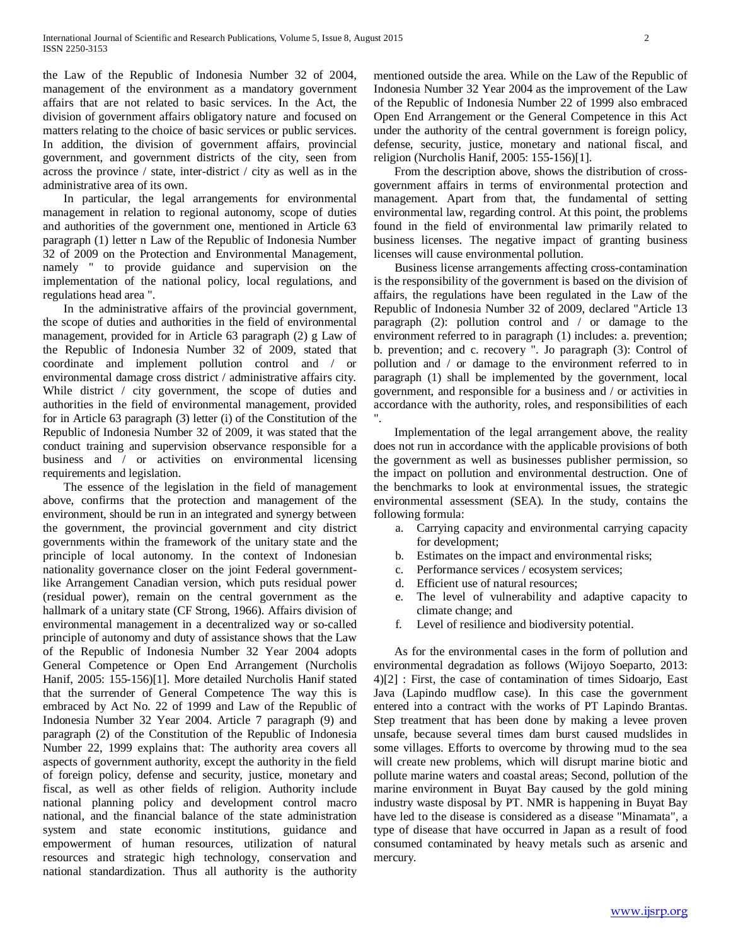the Law of the Republic of Indonesia Number 32 of 2004, management of the environment as a mandatory government affairs that are not related to basic services. In the Act, the division of government affairs obligatory nature and focused on matters relating to the choice of basic services or public services. In addition, the division of government affairs, provincial government, and government districts of the city, seen from across the province / state, inter-district / city as well as in the administrative area of its own.

 In particular, the legal arrangements for environmental management in relation to regional autonomy, scope of duties and authorities of the government one, mentioned in Article 63 paragraph (1) letter n Law of the Republic of Indonesia Number 32 of 2009 on the Protection and Environmental Management, namely " to provide guidance and supervision on the implementation of the national policy, local regulations, and regulations head area ".

 In the administrative affairs of the provincial government, the scope of duties and authorities in the field of environmental management, provided for in Article 63 paragraph (2) g Law of the Republic of Indonesia Number 32 of 2009, stated that coordinate and implement pollution control and / or environmental damage cross district / administrative affairs city. While district / city government, the scope of duties and authorities in the field of environmental management, provided for in Article 63 paragraph (3) letter (i) of the Constitution of the Republic of Indonesia Number 32 of 2009, it was stated that the conduct training and supervision observance responsible for a business and / or activities on environmental licensing requirements and legislation.

 The essence of the legislation in the field of management above, confirms that the protection and management of the environment, should be run in an integrated and synergy between the government, the provincial government and city district governments within the framework of the unitary state and the principle of local autonomy. In the context of Indonesian nationality governance closer on the joint Federal governmentlike Arrangement Canadian version, which puts residual power (residual power), remain on the central government as the hallmark of a unitary state (CF Strong, 1966). Affairs division of environmental management in a decentralized way or so-called principle of autonomy and duty of assistance shows that the Law of the Republic of Indonesia Number 32 Year 2004 adopts General Competence or Open End Arrangement (Nurcholis Hanif, 2005: 155-156)[1]. More detailed Nurcholis Hanif stated that the surrender of General Competence The way this is embraced by Act No. 22 of 1999 and Law of the Republic of Indonesia Number 32 Year 2004. Article 7 paragraph (9) and paragraph (2) of the Constitution of the Republic of Indonesia Number 22, 1999 explains that: The authority area covers all aspects of government authority, except the authority in the field of foreign policy, defense and security, justice, monetary and fiscal, as well as other fields of religion. Authority include national planning policy and development control macro national, and the financial balance of the state administration system and state economic institutions, guidance and empowerment of human resources, utilization of natural resources and strategic high technology, conservation and national standardization. Thus all authority is the authority mentioned outside the area. While on the Law of the Republic of Indonesia Number 32 Year 2004 as the improvement of the Law of the Republic of Indonesia Number 22 of 1999 also embraced Open End Arrangement or the General Competence in this Act under the authority of the central government is foreign policy, defense, security, justice, monetary and national fiscal, and religion (Nurcholis Hanif, 2005: 155-156)[1].

 From the description above, shows the distribution of crossgovernment affairs in terms of environmental protection and management. Apart from that, the fundamental of setting environmental law, regarding control. At this point, the problems found in the field of environmental law primarily related to business licenses. The negative impact of granting business licenses will cause environmental pollution.

 Business license arrangements affecting cross-contamination is the responsibility of the government is based on the division of affairs, the regulations have been regulated in the Law of the Republic of Indonesia Number 32 of 2009, declared "Article 13 paragraph (2): pollution control and / or damage to the environment referred to in paragraph (1) includes: a. prevention; b. prevention; and c. recovery ". Jo paragraph (3): Control of pollution and / or damage to the environment referred to in paragraph (1) shall be implemented by the government, local government, and responsible for a business and / or activities in accordance with the authority, roles, and responsibilities of each ".

 Implementation of the legal arrangement above, the reality does not run in accordance with the applicable provisions of both the government as well as businesses publisher permission, so the impact on pollution and environmental destruction. One of the benchmarks to look at environmental issues, the strategic environmental assessment (SEA). In the study, contains the following formula:

- a. Carrying capacity and environmental carrying capacity for development;
- b. Estimates on the impact and environmental risks;
- c. Performance services / ecosystem services;
- d. Efficient use of natural resources;
- e. The level of vulnerability and adaptive capacity to climate change; and
- f. Level of resilience and biodiversity potential.

 As for the environmental cases in the form of pollution and environmental degradation as follows (Wijoyo Soeparto, 2013: 4)[2] : First, the case of contamination of times Sidoarjo, East Java (Lapindo mudflow case). In this case the government entered into a contract with the works of PT Lapindo Brantas. Step treatment that has been done by making a levee proven unsafe, because several times dam burst caused mudslides in some villages. Efforts to overcome by throwing mud to the sea will create new problems, which will disrupt marine biotic and pollute marine waters and coastal areas; Second, pollution of the marine environment in Buyat Bay caused by the gold mining industry waste disposal by PT. NMR is happening in Buyat Bay have led to the disease is considered as a disease "Minamata", a type of disease that have occurred in Japan as a result of food consumed contaminated by heavy metals such as arsenic and mercury.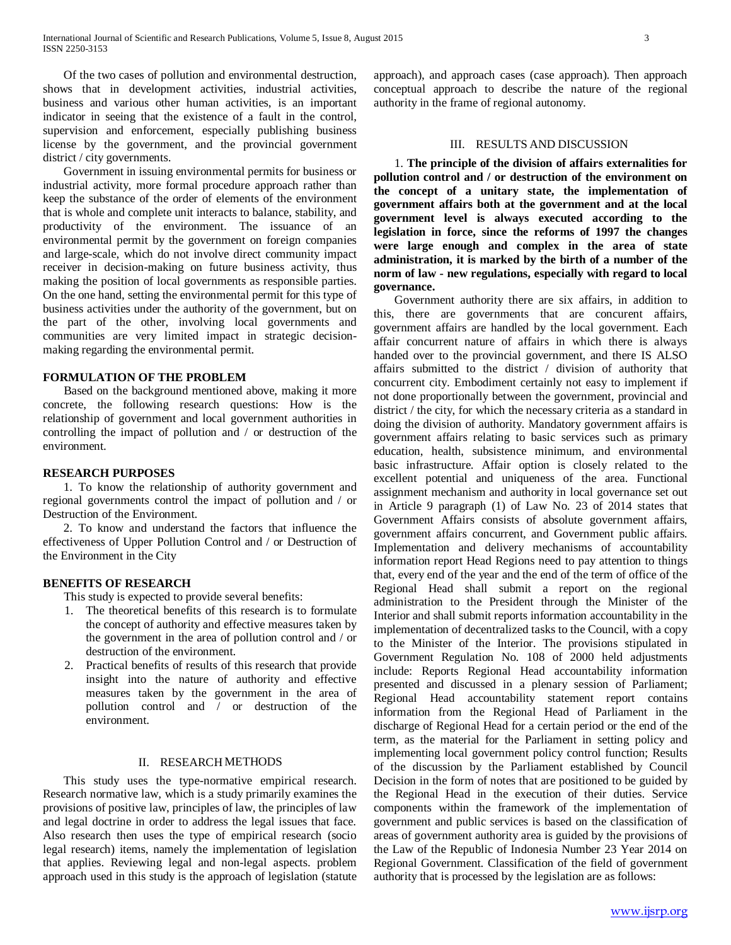Of the two cases of pollution and environmental destruction, shows that in development activities, industrial activities, business and various other human activities, is an important indicator in seeing that the existence of a fault in the control, supervision and enforcement, especially publishing business license by the government, and the provincial government district / city governments.

 Government in issuing environmental permits for business or industrial activity, more formal procedure approach rather than keep the substance of the order of elements of the environment that is whole and complete unit interacts to balance, stability, and productivity of the environment. The issuance of an environmental permit by the government on foreign companies and large-scale, which do not involve direct community impact receiver in decision-making on future business activity, thus making the position of local governments as responsible parties. On the one hand, setting the environmental permit for this type of business activities under the authority of the government, but on the part of the other, involving local governments and communities are very limited impact in strategic decisionmaking regarding the environmental permit.

#### **FORMULATION OF THE PROBLEM**

 Based on the background mentioned above, making it more concrete, the following research questions: How is the relationship of government and local government authorities in controlling the impact of pollution and / or destruction of the environment.

#### **RESEARCH PURPOSES**

 1. To know the relationship of authority government and regional governments control the impact of pollution and / or Destruction of the Environment.

 2. To know and understand the factors that influence the effectiveness of Upper Pollution Control and / or Destruction of the Environment in the City

#### **BENEFITS OF RESEARCH**

This study is expected to provide several benefits:

- 1. The theoretical benefits of this research is to formulate the concept of authority and effective measures taken by the government in the area of pollution control and / or destruction of the environment.
- 2. Practical benefits of results of this research that provide insight into the nature of authority and effective measures taken by the government in the area of pollution control and / or destruction of the environment.

#### II. RESEARCH METHODS

 This study uses the type-normative empirical research. Research normative law, which is a study primarily examines the provisions of positive law, principles of law, the principles of law and legal doctrine in order to address the legal issues that face. Also research then uses the type of empirical research (socio legal research) items, namely the implementation of legislation that applies. Reviewing legal and non-legal aspects. problem approach used in this study is the approach of legislation (statute approach), and approach cases (case approach). Then approach conceptual approach to describe the nature of the regional authority in the frame of regional autonomy.

#### III. RESULTS AND DISCUSSION

 1. **The principle of the division of affairs externalities for pollution control and / or destruction of the environment on the concept of a unitary state, the implementation of government affairs both at the government and at the local government level is always executed according to the legislation in force, since the reforms of 1997 the changes were large enough and complex in the area of state administration, it is marked by the birth of a number of the norm of law - new regulations, especially with regard to local governance.**

 Government authority there are six affairs, in addition to this, there are governments that are concurent affairs, government affairs are handled by the local government. Each affair concurrent nature of affairs in which there is always handed over to the provincial government, and there IS ALSO affairs submitted to the district / division of authority that concurrent city. Embodiment certainly not easy to implement if not done proportionally between the government, provincial and district / the city, for which the necessary criteria as a standard in doing the division of authority. Mandatory government affairs is government affairs relating to basic services such as primary education, health, subsistence minimum, and environmental basic infrastructure. Affair option is closely related to the excellent potential and uniqueness of the area. Functional assignment mechanism and authority in local governance set out in Article 9 paragraph (1) of Law No. 23 of 2014 states that Government Affairs consists of absolute government affairs, government affairs concurrent, and Government public affairs. Implementation and delivery mechanisms of accountability information report Head Regions need to pay attention to things that, every end of the year and the end of the term of office of the Regional Head shall submit a report on the regional administration to the President through the Minister of the Interior and shall submit reports information accountability in the implementation of decentralized tasks to the Council, with a copy to the Minister of the Interior. The provisions stipulated in Government Regulation No. 108 of 2000 held adjustments include: Reports Regional Head accountability information presented and discussed in a plenary session of Parliament; Regional Head accountability statement report contains information from the Regional Head of Parliament in the discharge of Regional Head for a certain period or the end of the term, as the material for the Parliament in setting policy and implementing local government policy control function; Results of the discussion by the Parliament established by Council Decision in the form of notes that are positioned to be guided by the Regional Head in the execution of their duties. Service components within the framework of the implementation of government and public services is based on the classification of areas of government authority area is guided by the provisions of the Law of the Republic of Indonesia Number 23 Year 2014 on Regional Government. Classification of the field of government authority that is processed by the legislation are as follows: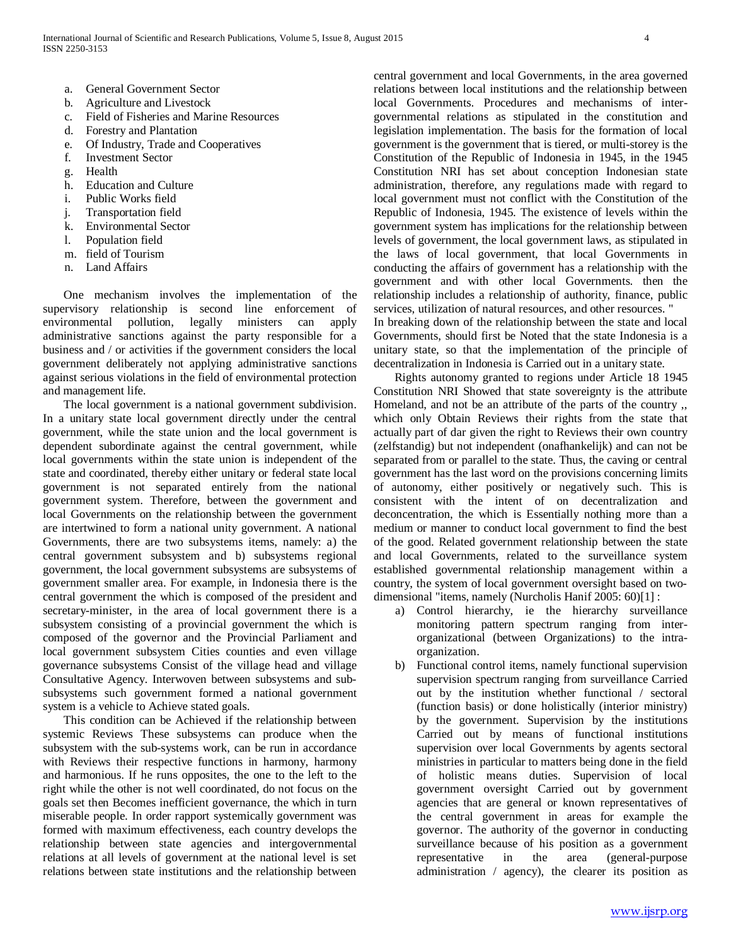- a. General Government Sector
- b. Agriculture and Livestock
- c. Field of Fisheries and Marine Resources
- d. Forestry and Plantation
- e. Of Industry, Trade and Cooperatives
- f. Investment Sector
- g. Health
- h. Education and Culture
- i. Public Works field
- j. Transportation field
- k. Environmental Sector
- l. Population field
- m. field of Tourism
- n. Land Affairs

 One mechanism involves the implementation of the supervisory relationship is second line enforcement of environmental pollution, legally ministers can apply administrative sanctions against the party responsible for a business and / or activities if the government considers the local government deliberately not applying administrative sanctions against serious violations in the field of environmental protection and management life.

 The local government is a national government subdivision. In a unitary state local government directly under the central government, while the state union and the local government is dependent subordinate against the central government, while local governments within the state union is independent of the state and coordinated, thereby either unitary or federal state local government is not separated entirely from the national government system. Therefore, between the government and local Governments on the relationship between the government are intertwined to form a national unity government. A national Governments, there are two subsystems items, namely: a) the central government subsystem and b) subsystems regional government, the local government subsystems are subsystems of government smaller area. For example, in Indonesia there is the central government the which is composed of the president and secretary-minister, in the area of local government there is a subsystem consisting of a provincial government the which is composed of the governor and the Provincial Parliament and local government subsystem Cities counties and even village governance subsystems Consist of the village head and village Consultative Agency. Interwoven between subsystems and subsubsystems such government formed a national government system is a vehicle to Achieve stated goals.

 This condition can be Achieved if the relationship between systemic Reviews These subsystems can produce when the subsystem with the sub-systems work, can be run in accordance with Reviews their respective functions in harmony, harmony and harmonious. If he runs opposites, the one to the left to the right while the other is not well coordinated, do not focus on the goals set then Becomes inefficient governance, the which in turn miserable people. In order rapport systemically government was formed with maximum effectiveness, each country develops the relationship between state agencies and intergovernmental relations at all levels of government at the national level is set relations between state institutions and the relationship between

central government and local Governments, in the area governed relations between local institutions and the relationship between local Governments. Procedures and mechanisms of intergovernmental relations as stipulated in the constitution and legislation implementation. The basis for the formation of local government is the government that is tiered, or multi-storey is the Constitution of the Republic of Indonesia in 1945, in the 1945 Constitution NRI has set about conception Indonesian state administration, therefore, any regulations made with regard to local government must not conflict with the Constitution of the Republic of Indonesia, 1945. The existence of levels within the government system has implications for the relationship between levels of government, the local government laws, as stipulated in the laws of local government, that local Governments in conducting the affairs of government has a relationship with the government and with other local Governments. then the relationship includes a relationship of authority, finance, public services, utilization of natural resources, and other resources. " In breaking down of the relationship between the state and local Governments, should first be Noted that the state Indonesia is a unitary state, so that the implementation of the principle of

decentralization in Indonesia is Carried out in a unitary state. Rights autonomy granted to regions under Article 18 1945 Constitution NRI Showed that state sovereignty is the attribute Homeland, and not be an attribute of the parts of the country ,, which only Obtain Reviews their rights from the state that actually part of dar given the right to Reviews their own country (zelfstandig) but not independent (onafhankelijk) and can not be separated from or parallel to the state. Thus, the caving or central government has the last word on the provisions concerning limits of autonomy, either positively or negatively such. This is consistent with the intent of on decentralization and deconcentration, the which is Essentially nothing more than a medium or manner to conduct local government to find the best of the good. Related government relationship between the state and local Governments, related to the surveillance system established governmental relationship management within a country, the system of local government oversight based on twodimensional "items, namely (Nurcholis Hanif 2005: 60)[1] :

- a) Control hierarchy, ie the hierarchy surveillance monitoring pattern spectrum ranging from interorganizational (between Organizations) to the intraorganization.
- b) Functional control items, namely functional supervision supervision spectrum ranging from surveillance Carried out by the institution whether functional / sectoral (function basis) or done holistically (interior ministry) by the government. Supervision by the institutions Carried out by means of functional institutions supervision over local Governments by agents sectoral ministries in particular to matters being done in the field of holistic means duties. Supervision of local government oversight Carried out by government agencies that are general or known representatives of the central government in areas for example the governor. The authority of the governor in conducting surveillance because of his position as a government representative in the area (general-purpose administration / agency), the clearer its position as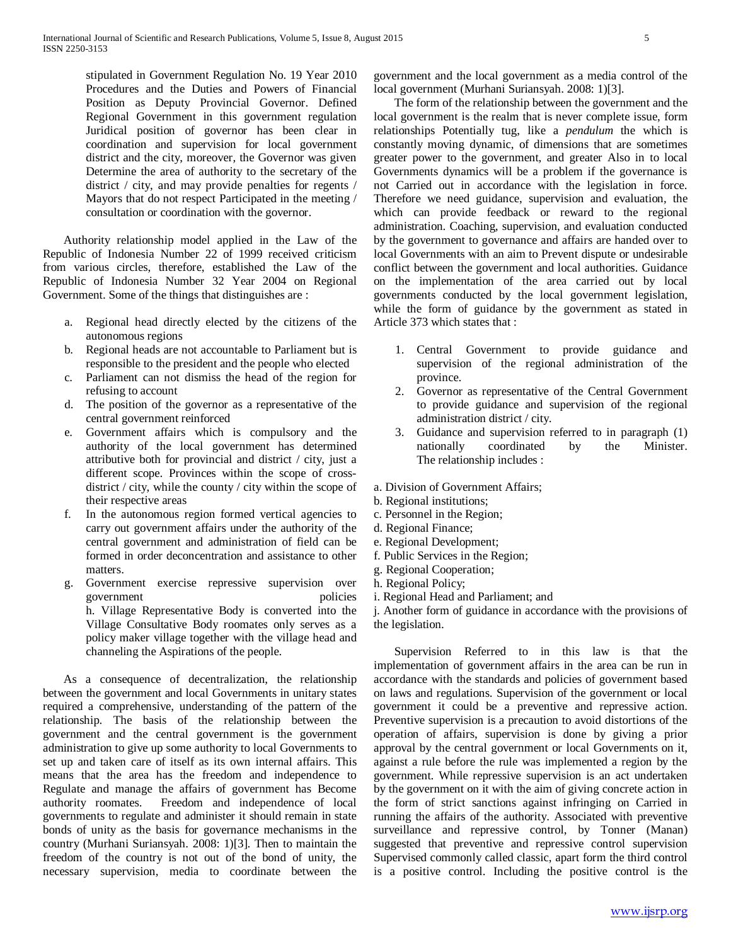stipulated in Government Regulation No. 19 Year 2010 Procedures and the Duties and Powers of Financial Position as Deputy Provincial Governor. Defined Regional Government in this government regulation Juridical position of governor has been clear in coordination and supervision for local government district and the city, moreover, the Governor was given Determine the area of authority to the secretary of the district / city, and may provide penalties for regents / Mayors that do not respect Participated in the meeting / consultation or coordination with the governor.

 Authority relationship model applied in the Law of the Republic of Indonesia Number 22 of 1999 received criticism from various circles, therefore, established the Law of the Republic of Indonesia Number 32 Year 2004 on Regional Government. Some of the things that distinguishes are :

- a. Regional head directly elected by the citizens of the autonomous regions
- b. Regional heads are not accountable to Parliament but is responsible to the president and the people who elected
- c. Parliament can not dismiss the head of the region for refusing to account
- d. The position of the governor as a representative of the central government reinforced
- e. Government affairs which is compulsory and the authority of the local government has determined attributive both for provincial and district / city, just a different scope. Provinces within the scope of crossdistrict / city, while the county / city within the scope of their respective areas
- f. In the autonomous region formed vertical agencies to carry out government affairs under the authority of the central government and administration of field can be formed in order deconcentration and assistance to other matters.
- g. Government exercise repressive supervision over government policies h. Village Representative Body is converted into the Village Consultative Body roomates only serves as a policy maker village together with the village head and channeling the Aspirations of the people.

 As a consequence of decentralization, the relationship between the government and local Governments in unitary states required a comprehensive, understanding of the pattern of the relationship. The basis of the relationship between the government and the central government is the government administration to give up some authority to local Governments to set up and taken care of itself as its own internal affairs. This means that the area has the freedom and independence to Regulate and manage the affairs of government has Become authority roomates. Freedom and independence of local governments to regulate and administer it should remain in state bonds of unity as the basis for governance mechanisms in the country (Murhani Suriansyah. 2008: 1)[3]. Then to maintain the freedom of the country is not out of the bond of unity, the necessary supervision, media to coordinate between the government and the local government as a media control of the local government (Murhani Suriansyah. 2008: 1)[3].

 The form of the relationship between the government and the local government is the realm that is never complete issue, form relationships Potentially tug, like a *pendulum* the which is constantly moving dynamic, of dimensions that are sometimes greater power to the government, and greater Also in to local Governments dynamics will be a problem if the governance is not Carried out in accordance with the legislation in force. Therefore we need guidance, supervision and evaluation, the which can provide feedback or reward to the regional administration. Coaching, supervision, and evaluation conducted by the government to governance and affairs are handed over to local Governments with an aim to Prevent dispute or undesirable conflict between the government and local authorities. Guidance on the implementation of the area carried out by local governments conducted by the local government legislation, while the form of guidance by the government as stated in Article 373 which states that :

- 1. Central Government to provide guidance and supervision of the regional administration of the province.
- 2. Governor as representative of the Central Government to provide guidance and supervision of the regional administration district / city.
- 3. Guidance and supervision referred to in paragraph (1) nationally coordinated by the Minister. The relationship includes :

a. Division of Government Affairs;

- b. Regional institutions;
- c. Personnel in the Region;
- d. Regional Finance;
- e. Regional Development;
- f. Public Services in the Region;
- g. Regional Cooperation;
- h. Regional Policy;
- i. Regional Head and Parliament; and

j. Another form of guidance in accordance with the provisions of the legislation.

 Supervision Referred to in this law is that the implementation of government affairs in the area can be run in accordance with the standards and policies of government based on laws and regulations. Supervision of the government or local government it could be a preventive and repressive action. Preventive supervision is a precaution to avoid distortions of the operation of affairs, supervision is done by giving a prior approval by the central government or local Governments on it, against a rule before the rule was implemented a region by the government. While repressive supervision is an act undertaken by the government on it with the aim of giving concrete action in the form of strict sanctions against infringing on Carried in running the affairs of the authority. Associated with preventive surveillance and repressive control, by Tonner (Manan) suggested that preventive and repressive control supervision Supervised commonly called classic, apart form the third control is a positive control. Including the positive control is the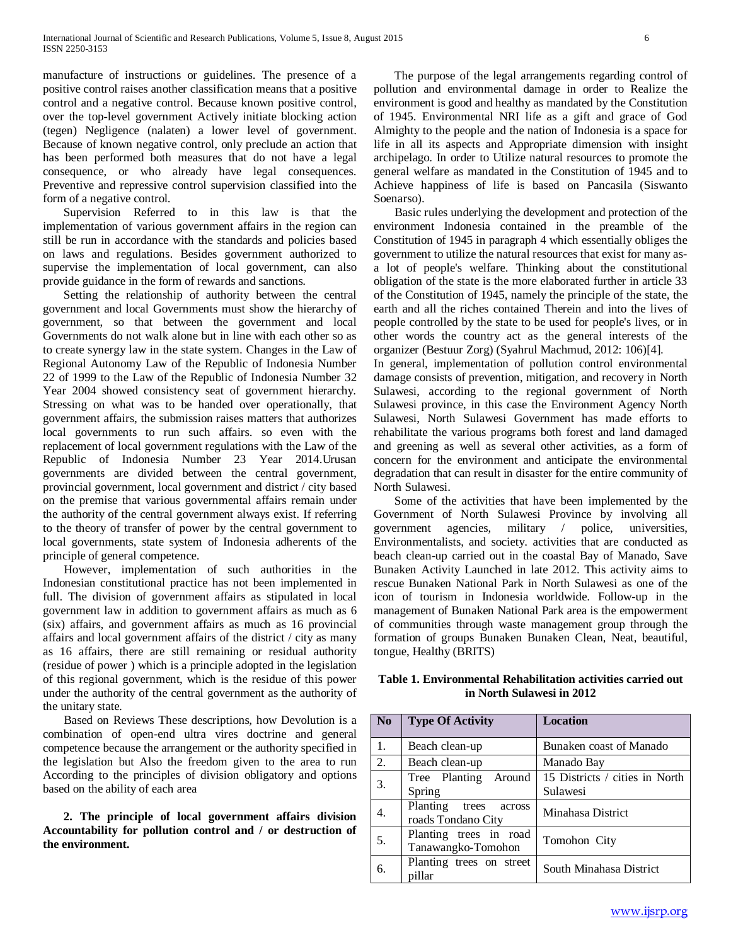manufacture of instructions or guidelines. The presence of a positive control raises another classification means that a positive control and a negative control. Because known positive control, over the top-level government Actively initiate blocking action (tegen) Negligence (nalaten) a lower level of government. Because of known negative control, only preclude an action that has been performed both measures that do not have a legal consequence, or who already have legal consequences. Preventive and repressive control supervision classified into the form of a negative control.

 Supervision Referred to in this law is that the implementation of various government affairs in the region can still be run in accordance with the standards and policies based on laws and regulations. Besides government authorized to supervise the implementation of local government, can also provide guidance in the form of rewards and sanctions.

 Setting the relationship of authority between the central government and local Governments must show the hierarchy of government, so that between the government and local Governments do not walk alone but in line with each other so as to create synergy law in the state system. Changes in the Law of Regional Autonomy Law of the Republic of Indonesia Number 22 of 1999 to the Law of the Republic of Indonesia Number 32 Year 2004 showed consistency seat of government hierarchy. Stressing on what was to be handed over operationally, that government affairs, the submission raises matters that authorizes local governments to run such affairs. so even with the replacement of local government regulations with the Law of the Republic of Indonesia Number 23 Year 2014.Urusan governments are divided between the central government, provincial government, local government and district / city based on the premise that various governmental affairs remain under the authority of the central government always exist. If referring to the theory of transfer of power by the central government to local governments, state system of Indonesia adherents of the principle of general competence.

 However, implementation of such authorities in the Indonesian constitutional practice has not been implemented in full. The division of government affairs as stipulated in local government law in addition to government affairs as much as 6 (six) affairs, and government affairs as much as 16 provincial affairs and local government affairs of the district / city as many as 16 affairs, there are still remaining or residual authority (residue of power ) which is a principle adopted in the legislation of this regional government, which is the residue of this power under the authority of the central government as the authority of the unitary state.

 Based on Reviews These descriptions, how Devolution is a combination of open-end ultra vires doctrine and general competence because the arrangement or the authority specified in the legislation but Also the freedom given to the area to run According to the principles of division obligatory and options based on the ability of each area

 **2. The principle of local government affairs division Accountability for pollution control and / or destruction of the environment.**

 The purpose of the legal arrangements regarding control of pollution and environmental damage in order to Realize the environment is good and healthy as mandated by the Constitution of 1945. Environmental NRI life as a gift and grace of God Almighty to the people and the nation of Indonesia is a space for life in all its aspects and Appropriate dimension with insight archipelago. In order to Utilize natural resources to promote the general welfare as mandated in the Constitution of 1945 and to Achieve happiness of life is based on Pancasila (Siswanto Soenarso).

 Basic rules underlying the development and protection of the environment Indonesia contained in the preamble of the Constitution of 1945 in paragraph 4 which essentially obliges the government to utilize the natural resources that exist for many asa lot of people's welfare. Thinking about the constitutional obligation of the state is the more elaborated further in article 33 of the Constitution of 1945, namely the principle of the state, the earth and all the riches contained Therein and into the lives of people controlled by the state to be used for people's lives, or in other words the country act as the general interests of the organizer (Bestuur Zorg) (Syahrul Machmud, 2012: 106)[4].

In general, implementation of pollution control environmental damage consists of prevention, mitigation, and recovery in North Sulawesi, according to the regional government of North Sulawesi province, in this case the Environment Agency North Sulawesi, North Sulawesi Government has made efforts to rehabilitate the various programs both forest and land damaged and greening as well as several other activities, as a form of concern for the environment and anticipate the environmental degradation that can result in disaster for the entire community of North Sulawesi.

 Some of the activities that have been implemented by the Government of North Sulawesi Province by involving all government agencies, military / police, universities, Environmentalists, and society. activities that are conducted as beach clean-up carried out in the coastal Bay of Manado, Save Bunaken Activity Launched in late 2012. This activity aims to rescue Bunaken National Park in North Sulawesi as one of the icon of tourism in Indonesia worldwide. Follow-up in the management of Bunaken National Park area is the empowerment of communities through waste management group through the formation of groups Bunaken Bunaken Clean, Neat, beautiful, tongue, Healthy (BRITS)

| Table 1. Environmental Rehabilitation activities carried out |  |  |
|--------------------------------------------------------------|--|--|
| in North Sulawesi in 2012                                    |  |  |
|                                                              |  |  |

| N <sub>0</sub> | <b>Type Of Activity</b>                           | <b>Location</b>                            |
|----------------|---------------------------------------------------|--------------------------------------------|
| 1.             | Beach clean-up                                    | Bunaken coast of Manado                    |
| 2.             | Beach clean-up                                    | Manado Bay                                 |
| 3.             | Tree Planting Around<br>Spring                    | 15 Districts / cities in North<br>Sulawesi |
| 4.             | Planting<br>trees<br>across<br>roads Tondano City | Minahasa District                          |
| 5.             | Planting trees in road<br>Tanawangko-Tomohon      | Tomohon City                               |
| 6.             | Planting trees on street<br>pillar                | South Minahasa District                    |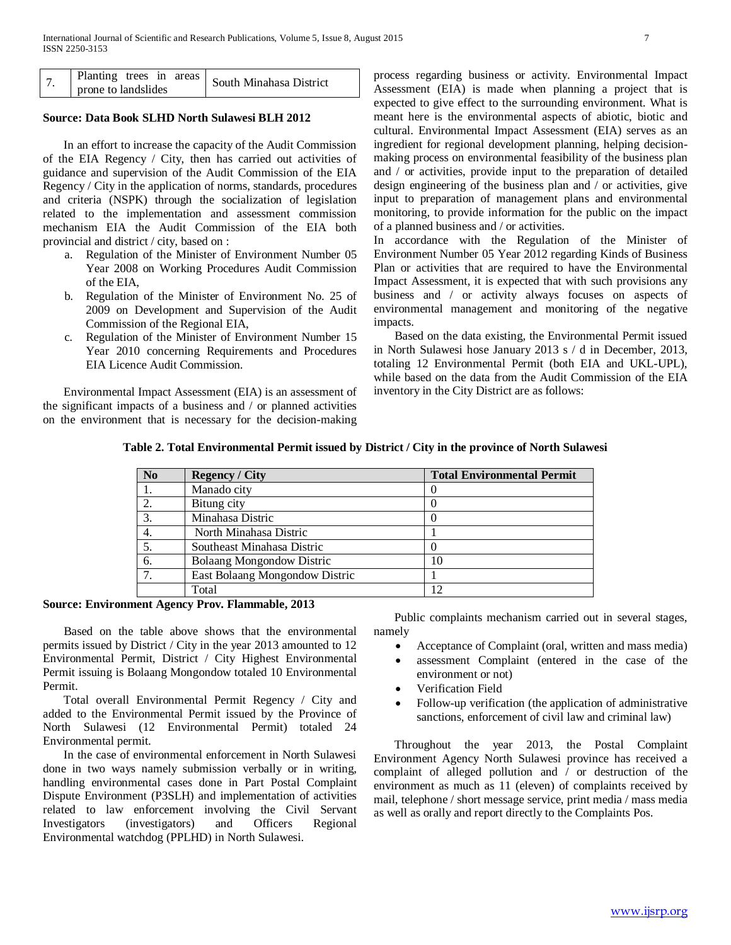|                     | $\sim$ 1 Planting trees in areas South Minahasa District |
|---------------------|----------------------------------------------------------|
| prone to landslides |                                                          |

## **Source: Data Book SLHD North Sulawesi BLH 2012**

 In an effort to increase the capacity of the Audit Commission of the EIA Regency / City, then has carried out activities of guidance and supervision of the Audit Commission of the EIA Regency / City in the application of norms, standards, procedures and criteria (NSPK) through the socialization of legislation related to the implementation and assessment commission mechanism EIA the Audit Commission of the EIA both provincial and district / city, based on :

- a. Regulation of the Minister of Environment Number 05 Year 2008 on Working Procedures Audit Commission of the EIA,
- b. Regulation of the Minister of Environment No. 25 of 2009 on Development and Supervision of the Audit Commission of the Regional EIA,
- c. Regulation of the Minister of Environment Number 15 Year 2010 concerning Requirements and Procedures EIA Licence Audit Commission.

 Environmental Impact Assessment (EIA) is an assessment of the significant impacts of a business and / or planned activities on the environment that is necessary for the decision-making process regarding business or activity. Environmental Impact Assessment (EIA) is made when planning a project that is expected to give effect to the surrounding environment. What is meant here is the environmental aspects of abiotic, biotic and cultural. Environmental Impact Assessment (EIA) serves as an ingredient for regional development planning, helping decisionmaking process on environmental feasibility of the business plan and / or activities, provide input to the preparation of detailed design engineering of the business plan and / or activities, give input to preparation of management plans and environmental monitoring, to provide information for the public on the impact of a planned business and / or activities.

In accordance with the Regulation of the Minister of Environment Number 05 Year 2012 regarding Kinds of Business Plan or activities that are required to have the Environmental Impact Assessment, it is expected that with such provisions any business and / or activity always focuses on aspects of environmental management and monitoring of the negative impacts.

 Based on the data existing, the Environmental Permit issued in North Sulawesi hose January 2013 s / d in December, 2013, totaling 12 Environmental Permit (both EIA and UKL-UPL), while based on the data from the Audit Commission of the EIA inventory in the City District are as follows:

| N <sub>0</sub> | <b>Regency / City</b>          | <b>Total Environmental Permit</b> |
|----------------|--------------------------------|-----------------------------------|
|                | Manado city                    |                                   |
| 2.             | Bitung city                    |                                   |
| 3.             | Minahasa Distric               |                                   |
| 4.             | North Minahasa Distric         |                                   |
| 5.             | Southeast Minahasa Distric     |                                   |
| 6.             | Bolaang Mongondow Distric      | 10                                |
| 7.             | East Bolaang Mongondow Distric |                                   |
|                | Total                          |                                   |

## **Table 2. Total Environmental Permit issued by District / City in the province of North Sulawesi**

#### **Source: Environment Agency Prov. Flammable, 2013**

 Based on the table above shows that the environmental permits issued by District / City in the year 2013 amounted to 12 Environmental Permit, District / City Highest Environmental Permit issuing is Bolaang Mongondow totaled 10 Environmental Permit.

 Total overall Environmental Permit Regency / City and added to the Environmental Permit issued by the Province of North Sulawesi (12 Environmental Permit) totaled 24 Environmental permit.

 In the case of environmental enforcement in North Sulawesi done in two ways namely submission verbally or in writing, handling environmental cases done in Part Postal Complaint Dispute Environment (P3SLH) and implementation of activities related to law enforcement involving the Civil Servant Investigators (investigators) and Officers Regional Environmental watchdog (PPLHD) in North Sulawesi.

 Public complaints mechanism carried out in several stages, namely

- Acceptance of Complaint (oral, written and mass media)
- assessment Complaint (entered in the case of the environment or not)
- Verification Field
- Follow-up verification (the application of administrative sanctions, enforcement of civil law and criminal law)

 Throughout the year 2013, the Postal Complaint Environment Agency North Sulawesi province has received a complaint of alleged pollution and / or destruction of the environment as much as 11 (eleven) of complaints received by mail, telephone / short message service, print media / mass media as well as orally and report directly to the Complaints Pos.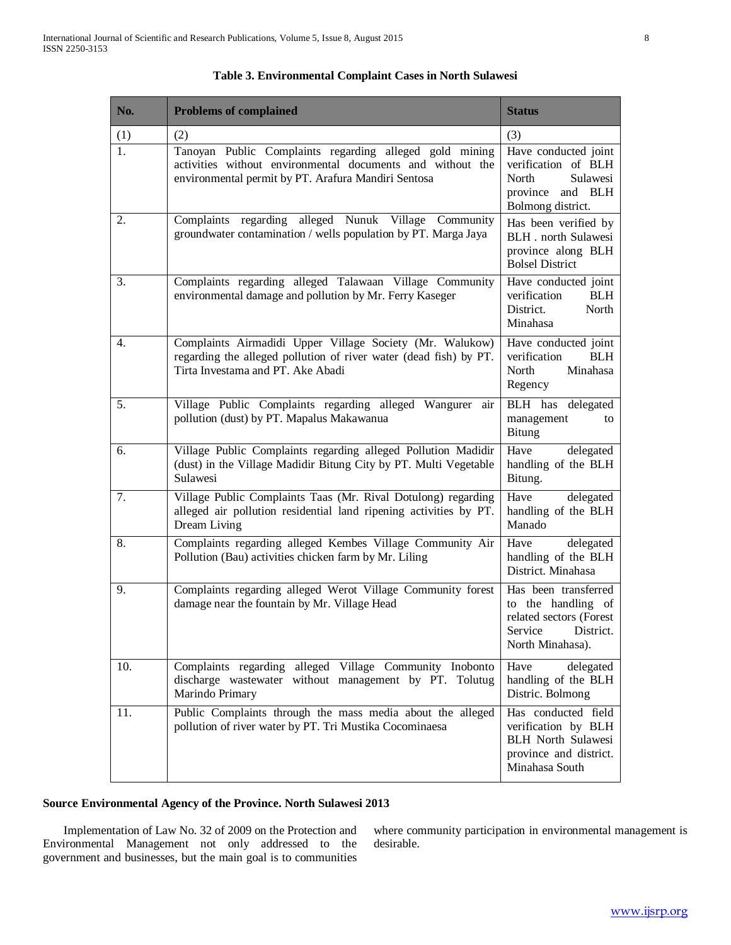| No. | <b>Problems of complained</b>                                                                                                                                                | <b>Status</b>                                                                                                       |
|-----|------------------------------------------------------------------------------------------------------------------------------------------------------------------------------|---------------------------------------------------------------------------------------------------------------------|
| (1) | (2)                                                                                                                                                                          | (3)                                                                                                                 |
| 1.  | Tanoyan Public Complaints regarding alleged gold mining<br>activities without environmental documents and without the<br>environmental permit by PT. Arafura Mandiri Sentosa | Have conducted joint<br>verification of BLH<br>North<br>Sulawesi<br>province and BLH<br>Bolmong district.           |
| 2.  | Complaints regarding alleged Nunuk Village Community<br>groundwater contamination / wells population by PT. Marga Jaya                                                       | Has been verified by<br><b>BLH</b> . north Sulawesi<br>province along BLH<br><b>Bolsel District</b>                 |
| 3.  | Complaints regarding alleged Talawaan Village Community<br>environmental damage and pollution by Mr. Ferry Kaseger                                                           | Have conducted joint<br>verification<br><b>BLH</b><br>District.<br>North<br>Minahasa                                |
| 4.  | Complaints Airmadidi Upper Village Society (Mr. Walukow)<br>regarding the alleged pollution of river water (dead fish) by PT.<br>Tirta Investama and PT. Ake Abadi           | Have conducted joint<br>verification<br><b>BLH</b><br>North<br>Minahasa<br>Regency                                  |
| 5.  | Village Public Complaints regarding alleged Wangurer air<br>pollution (dust) by PT. Mapalus Makawanua                                                                        | BLH has delegated<br>management<br>to<br><b>Bitung</b>                                                              |
| 6.  | Village Public Complaints regarding alleged Pollution Madidir<br>(dust) in the Village Madidir Bitung City by PT. Multi Vegetable<br>Sulawesi                                | Have<br>delegated<br>handling of the BLH<br>Bitung.                                                                 |
| 7.  | Village Public Complaints Taas (Mr. Rival Dotulong) regarding<br>alleged air pollution residential land ripening activities by PT.<br>Dream Living                           | Have<br>delegated<br>handling of the BLH<br>Manado                                                                  |
| 8.  | Complaints regarding alleged Kembes Village Community Air<br>Pollution (Bau) activities chicken farm by Mr. Liling                                                           | Have<br>delegated<br>handling of the BLH<br>District. Minahasa                                                      |
| 9.  | Complaints regarding alleged Werot Village Community forest<br>damage near the fountain by Mr. Village Head                                                                  | Has been transferred<br>to the handling of<br>related sectors (Forest<br>Service<br>District.<br>North Minahasa).   |
| 10. | Complaints regarding alleged Village Community Inobonto<br>discharge wastewater without management by PT. Tolutug<br>Marindo Primary                                         | Have<br>delegated<br>handling of the BLH<br>Distric. Bolmong                                                        |
| 11. | Public Complaints through the mass media about the alleged<br>pollution of river water by PT. Tri Mustika Cocominaesa                                                        | Has conducted field<br>verification by BLH<br><b>BLH</b> North Sulawesi<br>province and district.<br>Minahasa South |

## **Table 3. Environmental Complaint Cases in North Sulawesi**

## **Source Environmental Agency of the Province. North Sulawesi 2013**

 Implementation of Law No. 32 of 2009 on the Protection and Environmental Management not only addressed to the government and businesses, but the main goal is to communities where community participation in environmental management is desirable.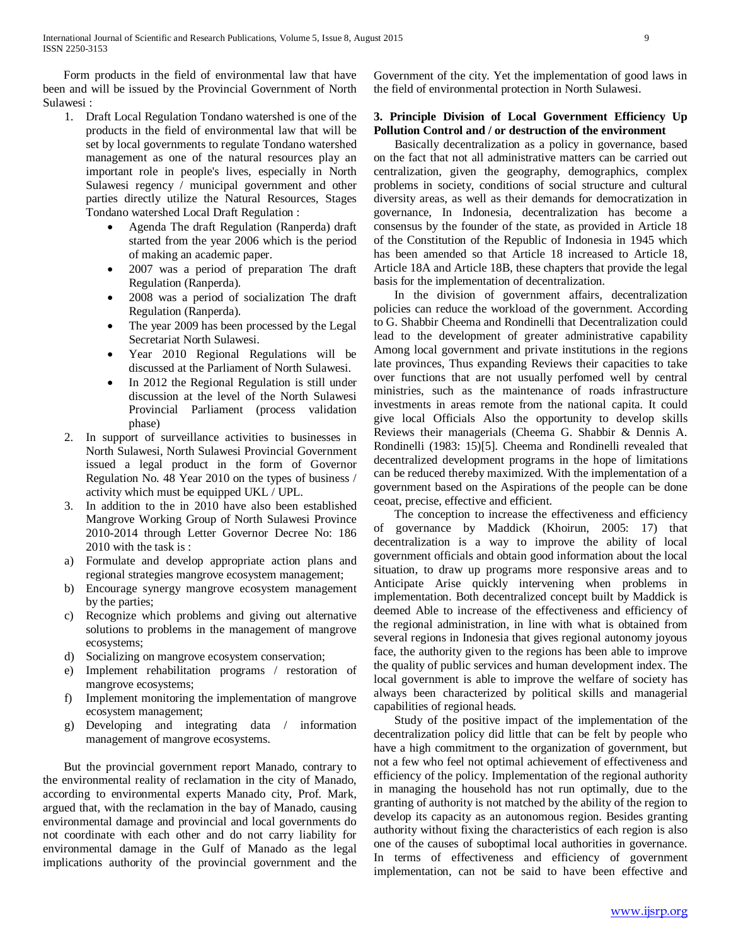Form products in the field of environmental law that have been and will be issued by the Provincial Government of North Sulawesi :

- 1. Draft Local Regulation Tondano watershed is one of the products in the field of environmental law that will be set by local governments to regulate Tondano watershed management as one of the natural resources play an important role in people's lives, especially in North Sulawesi regency / municipal government and other parties directly utilize the Natural Resources, Stages Tondano watershed Local Draft Regulation :
	- Agenda The draft Regulation (Ranperda) draft started from the year 2006 which is the period of making an academic paper.
	- 2007 was a period of preparation The draft Regulation (Ranperda).
	- 2008 was a period of socialization The draft Regulation (Ranperda).
	- The year 2009 has been processed by the Legal Secretariat North Sulawesi.
	- Year 2010 Regional Regulations will be discussed at the Parliament of North Sulawesi.
	- In 2012 the Regional Regulation is still under discussion at the level of the North Sulawesi Provincial Parliament (process validation phase)
- 2. In support of surveillance activities to businesses in North Sulawesi, North Sulawesi Provincial Government issued a legal product in the form of Governor Regulation No. 48 Year 2010 on the types of business / activity which must be equipped UKL / UPL.
- 3. In addition to the in 2010 have also been established Mangrove Working Group of North Sulawesi Province 2010-2014 through Letter Governor Decree No: 186 2010 with the task is :
- a) Formulate and develop appropriate action plans and regional strategies mangrove ecosystem management;
- b) Encourage synergy mangrove ecosystem management by the parties;
- c) Recognize which problems and giving out alternative solutions to problems in the management of mangrove ecosystems;
- d) Socializing on mangrove ecosystem conservation;
- e) Implement rehabilitation programs / restoration of mangrove ecosystems;
- f) Implement monitoring the implementation of mangrove ecosystem management;
- g) Developing and integrating data / information management of mangrove ecosystems.

 But the provincial government report Manado, contrary to the environmental reality of reclamation in the city of Manado, according to environmental experts Manado city, Prof. Mark, argued that, with the reclamation in the bay of Manado, causing environmental damage and provincial and local governments do not coordinate with each other and do not carry liability for environmental damage in the Gulf of Manado as the legal implications authority of the provincial government and the Government of the city. Yet the implementation of good laws in the field of environmental protection in North Sulawesi.

## **3. Principle Division of Local Government Efficiency Up Pollution Control and / or destruction of the environment**

 Basically decentralization as a policy in governance, based on the fact that not all administrative matters can be carried out centralization, given the geography, demographics, complex problems in society, conditions of social structure and cultural diversity areas, as well as their demands for democratization in governance, In Indonesia, decentralization has become a consensus by the founder of the state, as provided in Article 18 of the Constitution of the Republic of Indonesia in 1945 which has been amended so that Article 18 increased to Article 18, Article 18A and Article 18B, these chapters that provide the legal basis for the implementation of decentralization.

 In the division of government affairs, decentralization policies can reduce the workload of the government. According to G. Shabbir Cheema and Rondinelli that Decentralization could lead to the development of greater administrative capability Among local government and private institutions in the regions late provinces, Thus expanding Reviews their capacities to take over functions that are not usually perfomed well by central ministries, such as the maintenance of roads infrastructure investments in areas remote from the national capita. It could give local Officials Also the opportunity to develop skills Reviews their managerials (Cheema G. Shabbir & Dennis A. Rondinelli (1983: 15)[5]. Cheema and Rondinelli revealed that decentralized development programs in the hope of limitations can be reduced thereby maximized. With the implementation of a government based on the Aspirations of the people can be done ceoat, precise, effective and efficient.

 The conception to increase the effectiveness and efficiency of governance by Maddick (Khoirun, 2005: 17) that decentralization is a way to improve the ability of local government officials and obtain good information about the local situation, to draw up programs more responsive areas and to Anticipate Arise quickly intervening when problems in implementation. Both decentralized concept built by Maddick is deemed Able to increase of the effectiveness and efficiency of the regional administration, in line with what is obtained from several regions in Indonesia that gives regional autonomy joyous face, the authority given to the regions has been able to improve the quality of public services and human development index. The local government is able to improve the welfare of society has always been characterized by political skills and managerial capabilities of regional heads.

 Study of the positive impact of the implementation of the decentralization policy did little that can be felt by people who have a high commitment to the organization of government, but not a few who feel not optimal achievement of effectiveness and efficiency of the policy. Implementation of the regional authority in managing the household has not run optimally, due to the granting of authority is not matched by the ability of the region to develop its capacity as an autonomous region. Besides granting authority without fixing the characteristics of each region is also one of the causes of suboptimal local authorities in governance. In terms of effectiveness and efficiency of government implementation, can not be said to have been effective and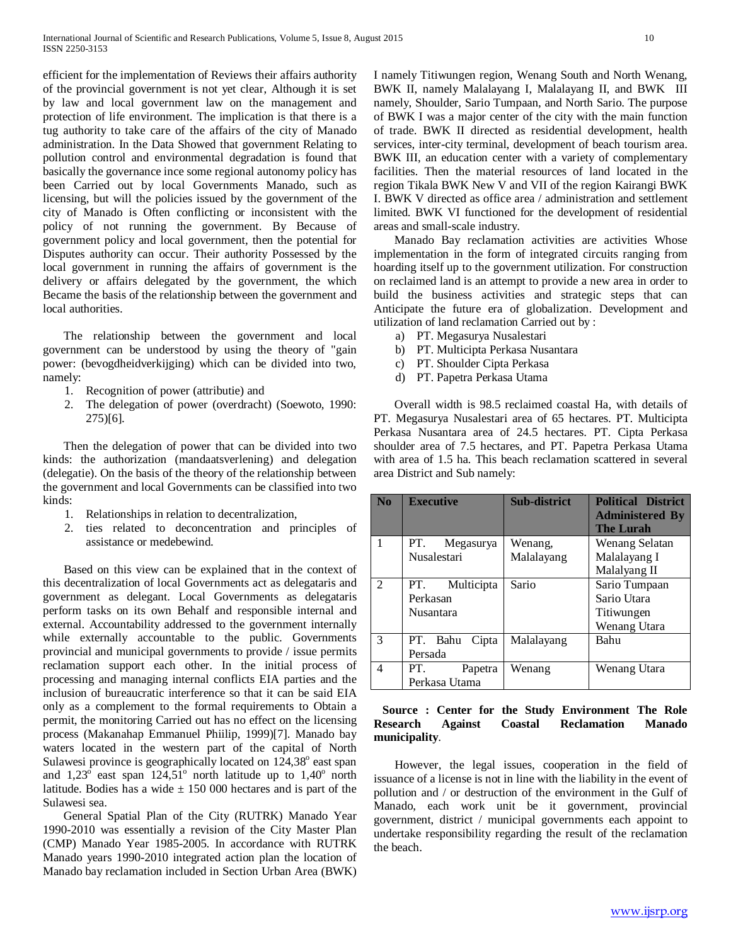efficient for the implementation of Reviews their affairs authority of the provincial government is not yet clear, Although it is set by law and local government law on the management and protection of life environment. The implication is that there is a tug authority to take care of the affairs of the city of Manado administration. In the Data Showed that government Relating to pollution control and environmental degradation is found that basically the governance ince some regional autonomy policy has been Carried out by local Governments Manado, such as licensing, but will the policies issued by the government of the city of Manado is Often conflicting or inconsistent with the policy of not running the government. By Because of government policy and local government, then the potential for Disputes authority can occur. Their authority Possessed by the local government in running the affairs of government is the delivery or affairs delegated by the government, the which Became the basis of the relationship between the government and local authorities.

 The relationship between the government and local government can be understood by using the theory of "gain power: (bevogdheidverkijging) which can be divided into two, namely:

- 1. Recognition of power (attributie) and
- 2. The delegation of power (overdracht) (Soewoto, 1990: 275)[6].

 Then the delegation of power that can be divided into two kinds: the authorization (mandaatsverlening) and delegation (delegatie). On the basis of the theory of the relationship between the government and local Governments can be classified into two kinds:

- 1. Relationships in relation to decentralization,
- 2. ties related to deconcentration and principles of assistance or medebewind.

 Based on this view can be explained that in the context of this decentralization of local Governments act as delegataris and government as delegant. Local Governments as delegataris perform tasks on its own Behalf and responsible internal and external. Accountability addressed to the government internally while externally accountable to the public. Governments provincial and municipal governments to provide / issue permits reclamation support each other. In the initial process of processing and managing internal conflicts EIA parties and the inclusion of bureaucratic interference so that it can be said EIA only as a complement to the formal requirements to Obtain a permit, the monitoring Carried out has no effect on the licensing process (Makanahap Emmanuel Phiilip, 1999)[7]. Manado bay waters located in the western part of the capital of North Sulawesi province is geographically located on  $124,38^\circ$  east span and  $1,23^\circ$  east span  $124,51^\circ$  north latitude up to  $1,40^\circ$  north latitude. Bodies has a wide  $\pm$  150 000 hectares and is part of the Sulawesi sea.

 General Spatial Plan of the City (RUTRK) Manado Year 1990-2010 was essentially a revision of the City Master Plan (CMP) Manado Year 1985-2005. In accordance with RUTRK Manado years 1990-2010 integrated action plan the location of Manado bay reclamation included in Section Urban Area (BWK) I namely Titiwungen region, Wenang South and North Wenang, BWK II, namely Malalayang I, Malalayang II, and BWK III namely, Shoulder, Sario Tumpaan, and North Sario. The purpose of BWK I was a major center of the city with the main function of trade. BWK II directed as residential development, health services, inter-city terminal, development of beach tourism area. BWK III, an education center with a variety of complementary facilities. Then the material resources of land located in the region Tikala BWK New V and VII of the region Kairangi BWK I. BWK V directed as office area / administration and settlement limited. BWK VI functioned for the development of residential areas and small-scale industry.

 Manado Bay reclamation activities are activities Whose implementation in the form of integrated circuits ranging from hoarding itself up to the government utilization. For construction on reclaimed land is an attempt to provide a new area in order to build the business activities and strategic steps that can Anticipate the future era of globalization. Development and utilization of land reclamation Carried out by :

- a) PT. Megasurya Nusalestari
- b) PT. Multicipta Perkasa Nusantara
- c) PT. Shoulder Cipta Perkasa
- d) PT. Papetra Perkasa Utama

 Overall width is 98.5 reclaimed coastal Ha, with details of PT. Megasurya Nusalestari area of 65 hectares. PT. Multicipta Perkasa Nusantara area of 24.5 hectares. PT. Cipta Perkasa shoulder area of 7.5 hectares, and PT. Papetra Perkasa Utama with area of 1.5 ha. This beach reclamation scattered in several area District and Sub namely:

| <b>No</b> | <b>Executive</b>  | <b>Sub-district</b> | <b>Political District</b><br><b>Administered By</b><br><b>The Lurah</b> |
|-----------|-------------------|---------------------|-------------------------------------------------------------------------|
| 1         | PT.<br>Megasurya  | Wenang,             | <b>Wenang Selatan</b>                                                   |
|           | Nusalestari       | Malalayang          | Malalayang I                                                            |
|           |                   |                     | Malalyang II                                                            |
| 2         | Multicipta<br>PT. | Sario               | Sario Tumpaan                                                           |
|           | Perkasan          |                     | Sario Utara                                                             |
|           | Nusantara         |                     | Titiwungen                                                              |
|           |                   |                     | Wenang Utara                                                            |
| 3         | PT. Bahu<br>Cipta | Malalayang          | Bahu                                                                    |
|           | Persada           |                     |                                                                         |
| 4         | PT.<br>Papetra    | Wenang              | Wenang Utara                                                            |
|           | Perkasa Utama     |                     |                                                                         |

## **Source : Center for the Study Environment The Role Research Against Coastal Reclamation Manado municipality**.

 However, the legal issues, cooperation in the field of issuance of a license is not in line with the liability in the event of pollution and / or destruction of the environment in the Gulf of Manado, each work unit be it government, provincial government, district / municipal governments each appoint to undertake responsibility regarding the result of the reclamation the beach.